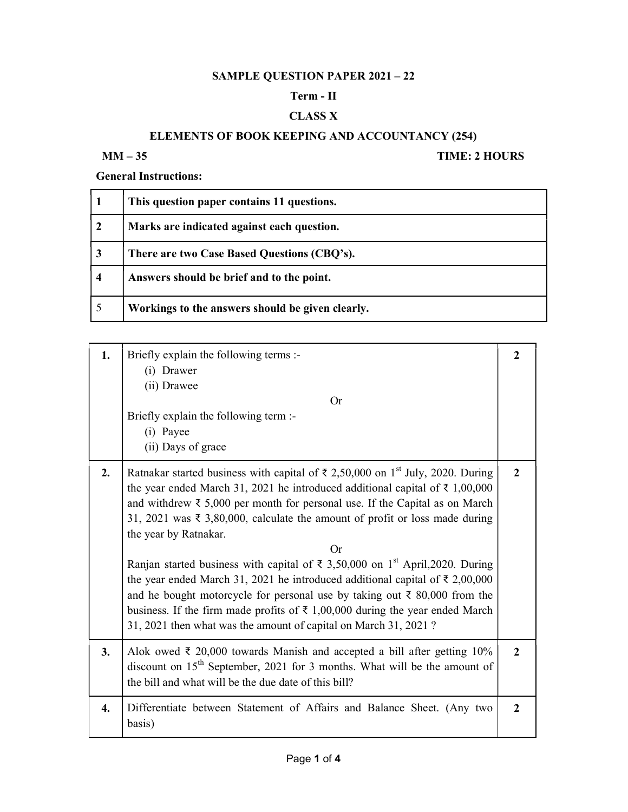# SAMPLE QUESTION PAPER 2021 – 22

#### Term - II

### CLASS X

## ELEMENTS OF BOOK KEEPING AND ACCOUNTANCY (254)

#### MM – 35 TIME: 2 HOURS

General Instructions:

|                     | This question paper contains 11 questions.       |
|---------------------|--------------------------------------------------|
|                     | Marks are indicated against each question.       |
| 3                   | There are two Case Based Questions (CBQ's).      |
| $\overline{\bf{4}}$ | Answers should be brief and to the point.        |
|                     | Workings to the answers should be given clearly. |

| 1. | Briefly explain the following terms :-<br>(i) Drawer<br>(ii) Drawee<br>Or<br>Briefly explain the following term :-<br>(i) Payee<br>(ii) Days of grace                                                                                                                                                                                                                                                                                                                                                                                                                                                                                                                                                                                                                                                                                                           | $\mathbf{2}$ |
|----|-----------------------------------------------------------------------------------------------------------------------------------------------------------------------------------------------------------------------------------------------------------------------------------------------------------------------------------------------------------------------------------------------------------------------------------------------------------------------------------------------------------------------------------------------------------------------------------------------------------------------------------------------------------------------------------------------------------------------------------------------------------------------------------------------------------------------------------------------------------------|--------------|
| 2. | Ratnakar started business with capital of $\bar{\tau}$ 2,50,000 on 1 <sup>st</sup> July, 2020. During<br>the year ended March 31, 2021 he introduced additional capital of $\bar{\tau}$ 1,00,000<br>and withdrew $\bar{\xi}$ 5,000 per month for personal use. If the Capital as on March<br>31, 2021 was ₹ 3,80,000, calculate the amount of profit or loss made during<br>the year by Ratnakar.<br>Or<br>Ranjan started business with capital of $\bar{\tau}$ 3,50,000 on 1 <sup>st</sup> April,2020. During<br>the year ended March 31, 2021 he introduced additional capital of $\bar{\tau}$ 2,00,000<br>and he bought motorcycle for personal use by taking out $\bar{\tau}$ 80,000 from the<br>business. If the firm made profits of $\bar{\tau}$ 1,00,000 during the year ended March<br>31, 2021 then what was the amount of capital on March 31, 2021? | $\mathbf{2}$ |
| 3. | Alok owed $\bar{\tau}$ 20,000 towards Manish and accepted a bill after getting 10%<br>discount on 15 <sup>th</sup> September, 2021 for 3 months. What will be the amount of<br>the bill and what will be the due date of this bill?                                                                                                                                                                                                                                                                                                                                                                                                                                                                                                                                                                                                                             | $\mathbf{2}$ |
| 4. | Differentiate between Statement of Affairs and Balance Sheet. (Any two<br>basis)                                                                                                                                                                                                                                                                                                                                                                                                                                                                                                                                                                                                                                                                                                                                                                                | $\mathbf{2}$ |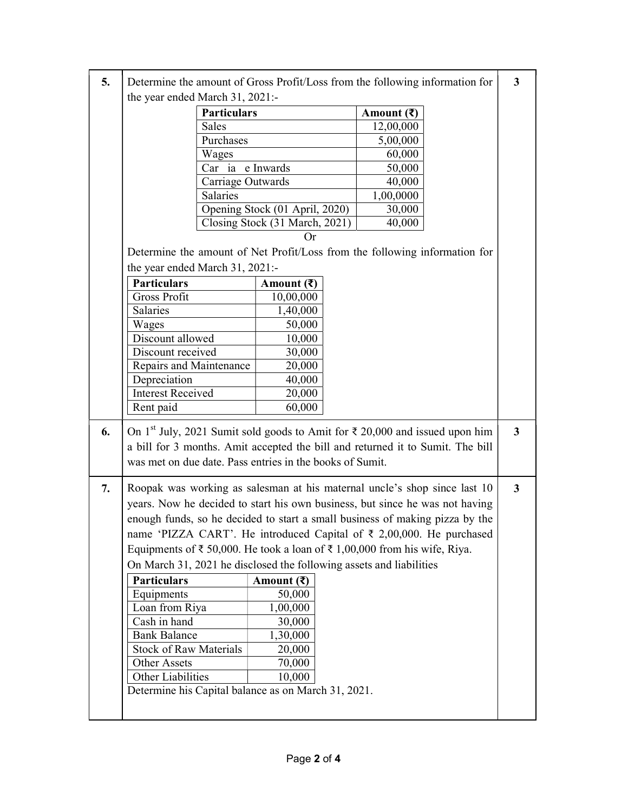| 5. | Determine the amount of Gross Profit/Loss from the following information for                                  |                                      |                                                                                | 3            |
|----|---------------------------------------------------------------------------------------------------------------|--------------------------------------|--------------------------------------------------------------------------------|--------------|
|    | the year ended March 31, 2021:-                                                                               |                                      |                                                                                |              |
|    | <b>Particulars</b>                                                                                            |                                      | Amount $(\bar{\mathbf{z}})$                                                    |              |
|    | Sales                                                                                                         |                                      | 12,00,000                                                                      |              |
|    | Purchases                                                                                                     |                                      | 5,00,000                                                                       |              |
|    | Wages                                                                                                         |                                      | 60,000                                                                         |              |
|    | Car ia e Inwards                                                                                              |                                      | 50,000                                                                         |              |
|    | Carriage Outwards                                                                                             |                                      | 40,000                                                                         |              |
|    | Salaries                                                                                                      |                                      | 1,00,0000                                                                      |              |
|    |                                                                                                               | Opening Stock (01 April, 2020)       | 30,000                                                                         |              |
|    |                                                                                                               | Closing Stock (31 March, 2021)<br>Or | 40,000                                                                         |              |
|    |                                                                                                               |                                      |                                                                                |              |
|    | Determine the amount of Net Profit/Loss from the following information for<br>the year ended March 31, 2021:- |                                      |                                                                                |              |
|    | <b>Particulars</b>                                                                                            | Amount $(\bar{\mathbf{z}})$          |                                                                                |              |
|    | Gross Profit                                                                                                  | 10,00,000                            |                                                                                |              |
|    | Salaries                                                                                                      | 1,40,000                             |                                                                                |              |
|    | Wages                                                                                                         | 50,000                               |                                                                                |              |
|    | Discount allowed                                                                                              | 10,000                               |                                                                                |              |
|    | Discount received                                                                                             | 30,000                               |                                                                                |              |
|    | Repairs and Maintenance                                                                                       | 20,000                               |                                                                                |              |
|    | Depreciation                                                                                                  | 40,000                               |                                                                                |              |
|    | <b>Interest Received</b>                                                                                      | 20,000                               |                                                                                |              |
|    | Rent paid                                                                                                     | 60,000                               |                                                                                |              |
| 6. | On 1 <sup>st</sup> July, 2021 Sumit sold goods to Amit for $\bar{\tau}$ 20,000 and issued upon him            |                                      |                                                                                | $\mathbf{3}$ |
|    |                                                                                                               |                                      | a bill for 3 months. Amit accepted the bill and returned it to Sumit. The bill |              |
|    | was met on due date. Pass entries in the books of Sumit.                                                      |                                      |                                                                                |              |
| 7. | Roopak was working as salesman at his maternal uncle's shop since last 10                                     |                                      |                                                                                | $\mathbf{3}$ |
|    |                                                                                                               |                                      | years. Now he decided to start his own business, but since he was not having   |              |
|    |                                                                                                               |                                      | enough funds, so he decided to start a small business of making pizza by the   |              |
|    |                                                                                                               |                                      | name 'PIZZA CART'. He introduced Capital of ₹ 2,00,000. He purchased           |              |
|    | Equipments of $\bar{\tau}$ 50,000. He took a loan of $\bar{\tau}$ 1,00,000 from his wife, Riya.               |                                      |                                                                                |              |
|    | On March 31, 2021 he disclosed the following assets and liabilities                                           |                                      |                                                                                |              |
|    | <b>Particulars</b>                                                                                            | Amount $(\bar{\mathbf{z}})$          |                                                                                |              |
|    | Equipments                                                                                                    | 50,000                               |                                                                                |              |
|    | Loan from Riya                                                                                                | 1,00,000                             |                                                                                |              |
|    | Cash in hand                                                                                                  | 30,000                               |                                                                                |              |
|    | <b>Bank Balance</b>                                                                                           | 1,30,000                             |                                                                                |              |
|    | <b>Stock of Raw Materials</b>                                                                                 | 20,000                               |                                                                                |              |
|    | Other Assets                                                                                                  | 70,000                               |                                                                                |              |
|    | Other Liabilities                                                                                             | 10,000                               |                                                                                |              |
|    | Determine his Capital balance as on March 31, 2021.                                                           |                                      |                                                                                |              |
|    |                                                                                                               |                                      |                                                                                |              |
|    |                                                                                                               |                                      |                                                                                |              |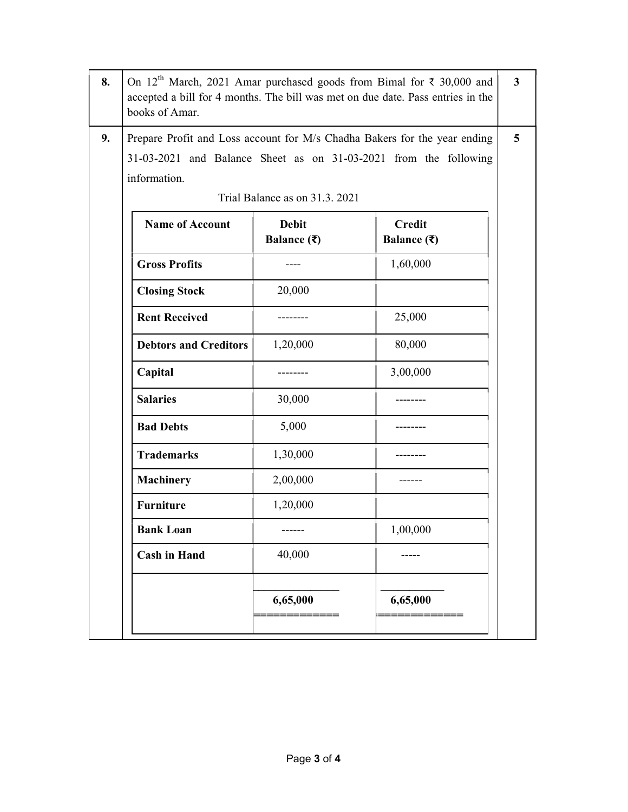| 8. | On 12 <sup>th</sup> March, 2021 Amar purchased goods from Bimal for $\bar{\tau}$ 30,000 and<br>accepted a bill for 4 months. The bill was met on due date. Pass entries in the<br>books of Amar. |                                                       |                                               | $\overline{\mathbf{3}}$ |
|----|--------------------------------------------------------------------------------------------------------------------------------------------------------------------------------------------------|-------------------------------------------------------|-----------------------------------------------|-------------------------|
| 9. | Prepare Profit and Loss account for M/s Chadha Bakers for the year ending<br>31-03-2021 and Balance Sheet as on 31-03-2021 from the following<br>information.                                    |                                                       |                                               |                         |
|    |                                                                                                                                                                                                  | Trial Balance as on 31.3. 2021                        |                                               |                         |
|    | <b>Name of Account</b>                                                                                                                                                                           | <b>Debit</b><br>Balance $(\bar{\mathbf{\mathsf{z}}})$ | <b>Credit</b><br>Balance $(\bar{\mathbf{z}})$ |                         |
|    | <b>Gross Profits</b>                                                                                                                                                                             |                                                       | 1,60,000                                      |                         |
|    | <b>Closing Stock</b>                                                                                                                                                                             | 20,000                                                |                                               |                         |
|    | <b>Rent Received</b>                                                                                                                                                                             |                                                       | 25,000                                        |                         |
|    | <b>Debtors and Creditors</b>                                                                                                                                                                     | 1,20,000                                              | 80,000                                        |                         |
|    | Capital                                                                                                                                                                                          |                                                       | 3,00,000                                      |                         |
|    | <b>Salaries</b>                                                                                                                                                                                  | 30,000                                                |                                               |                         |
|    | <b>Bad Debts</b>                                                                                                                                                                                 | 5,000                                                 |                                               |                         |
|    | <b>Trademarks</b>                                                                                                                                                                                | 1,30,000                                              |                                               |                         |
|    | <b>Machinery</b>                                                                                                                                                                                 | 2,00,000                                              |                                               |                         |
|    | <b>Furniture</b>                                                                                                                                                                                 | 1,20,000                                              |                                               |                         |
|    | <b>Bank Loan</b>                                                                                                                                                                                 |                                                       | 1,00,000                                      |                         |
|    | <b>Cash in Hand</b>                                                                                                                                                                              | 40,000                                                |                                               |                         |
|    |                                                                                                                                                                                                  | 6,65,000                                              | 6,65,000                                      |                         |